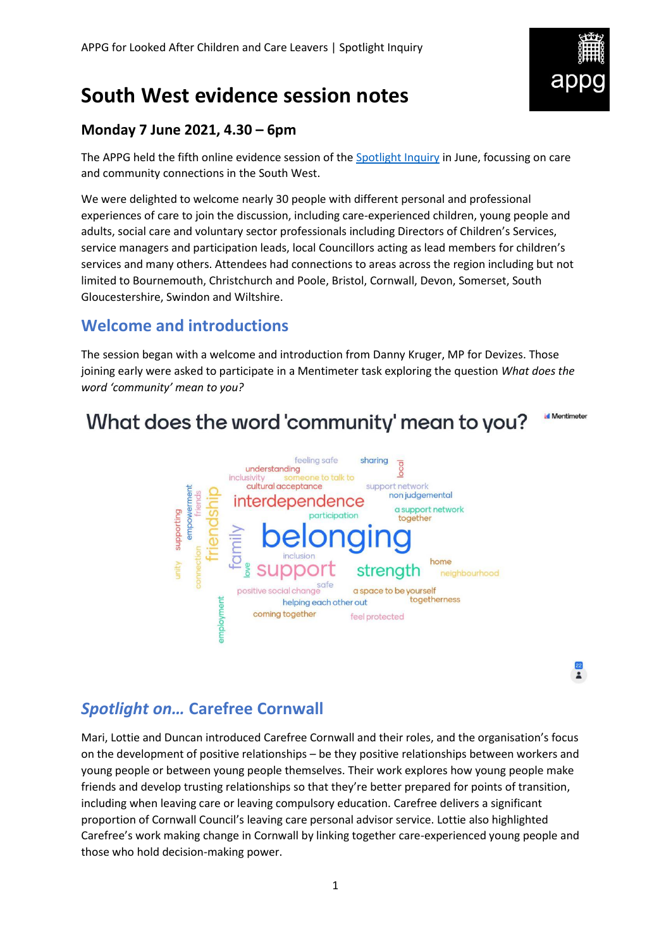

## **South West evidence session notes**

### **Monday 7 June 2021, 4.30 – 6pm**

The APPG held the fifth online evidence session of the [Spotlight Inquiry](https://becomecharity.org.uk/improving-the-care-system/appg/spotlight-inquiry/) in June, focussing on care and community connections in the South West.

We were delighted to welcome nearly 30 people with different personal and professional experiences of care to join the discussion, including care-experienced children, young people and adults, social care and voluntary sector professionals including Directors of Children's Services, service managers and participation leads, local Councillors acting as lead members for children's services and many others. Attendees had connections to areas across the region including but not limited to Bournemouth, Christchurch and Poole, Bristol, Cornwall, Devon, Somerset, South Gloucestershire, Swindon and Wiltshire.

### **Welcome and introductions**

The session began with a welcome and introduction from Danny Kruger, MP for Devizes. Those joining early were asked to participate in a Mentimeter task exploring the question *What does the word 'community' mean to you?*

# What does the word 'community' mean to you?



 $\frac{22}{2}$ 

**Mentimeter** 

## *Spotlight on…* **Carefree Cornwall**

Mari, Lottie and Duncan introduced Carefree Cornwall and their roles, and the organisation's focus on the development of positive relationships – be they positive relationships between workers and young people or between young people themselves. Their work explores how young people make friends and develop trusting relationships so that they're better prepared for points of transition, including when leaving care or leaving compulsory education. Carefree delivers a significant proportion of Cornwall Council's leaving care personal advisor service. Lottie also highlighted Carefree's work making change in Cornwall by linking together care-experienced young people and those who hold decision-making power.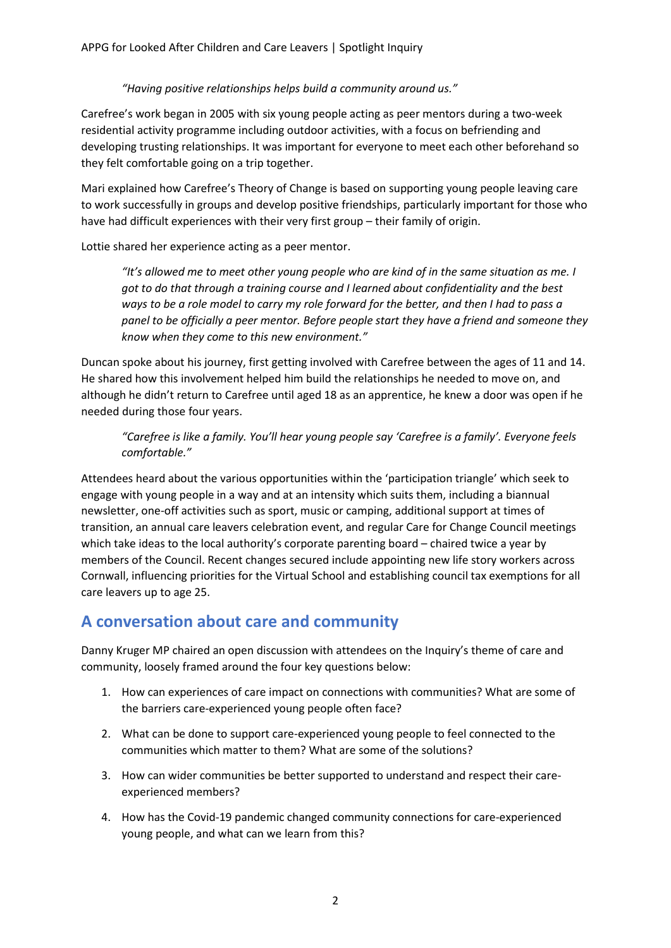#### *"Having positive relationships helps build a community around us."*

Carefree's work began in 2005 with six young people acting as peer mentors during a two-week residential activity programme including outdoor activities, with a focus on befriending and developing trusting relationships. It was important for everyone to meet each other beforehand so they felt comfortable going on a trip together.

Mari explained how Carefree's Theory of Change is based on supporting young people leaving care to work successfully in groups and develop positive friendships, particularly important for those who have had difficult experiences with their very first group – their family of origin.

Lottie shared her experience acting as a peer mentor.

*"It's allowed me to meet other young people who are kind of in the same situation as me. I got to do that through a training course and I learned about confidentiality and the best ways to be a role model to carry my role forward for the better, and then I had to pass a panel to be officially a peer mentor. Before people start they have a friend and someone they know when they come to this new environment."*

Duncan spoke about his journey, first getting involved with Carefree between the ages of 11 and 14. He shared how this involvement helped him build the relationships he needed to move on, and although he didn't return to Carefree until aged 18 as an apprentice, he knew a door was open if he needed during those four years.

*"Carefree is like a family. You'll hear young people say 'Carefree is a family'. Everyone feels comfortable."*

Attendees heard about the various opportunities within the 'participation triangle' which seek to engage with young people in a way and at an intensity which suits them, including a biannual newsletter, one-off activities such as sport, music or camping, additional support at times of transition, an annual care leavers celebration event, and regular Care for Change Council meetings which take ideas to the local authority's corporate parenting board – chaired twice a year by members of the Council. Recent changes secured include appointing new life story workers across Cornwall, influencing priorities for the Virtual School and establishing council tax exemptions for all care leavers up to age 25.

### **A conversation about care and community**

Danny Kruger MP chaired an open discussion with attendees on the Inquiry's theme of care and community, loosely framed around the four key questions below:

- 1. How can experiences of care impact on connections with communities? What are some of the barriers care-experienced young people often face?
- 2. What can be done to support care-experienced young people to feel connected to the communities which matter to them? What are some of the solutions?
- 3. How can wider communities be better supported to understand and respect their careexperienced members?
- 4. How has the Covid-19 pandemic changed community connections for care-experienced young people, and what can we learn from this?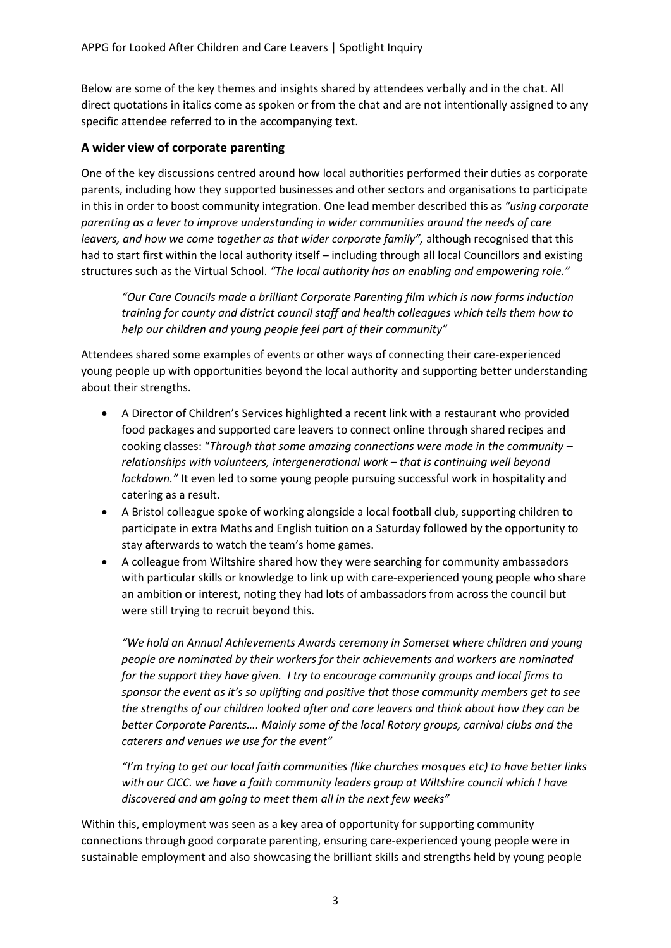Below are some of the key themes and insights shared by attendees verbally and in the chat. All direct quotations in italics come as spoken or from the chat and are not intentionally assigned to any specific attendee referred to in the accompanying text.

#### **A wider view of corporate parenting**

One of the key discussions centred around how local authorities performed their duties as corporate parents, including how they supported businesses and other sectors and organisations to participate in this in order to boost community integration. One lead member described this as *"using corporate parenting as a lever to improve understanding in wider communities around the needs of care leavers, and how we come together as that wider corporate family",* although recognised that this had to start first within the local authority itself – including through all local Councillors and existing structures such as the Virtual School. *"The local authority has an enabling and empowering role."*

*"Our Care Councils made a brilliant Corporate Parenting film which is now forms induction training for county and district council staff and health colleagues which tells them how to help our children and young people feel part of their community"*

Attendees shared some examples of events or other ways of connecting their care-experienced young people up with opportunities beyond the local authority and supporting better understanding about their strengths.

- A Director of Children's Services highlighted a recent link with a restaurant who provided food packages and supported care leavers to connect online through shared recipes and cooking classes: "*Through that some amazing connections were made in the community – relationships with volunteers, intergenerational work – that is continuing well beyond lockdown."* It even led to some young people pursuing successful work in hospitality and catering as a result.
- A Bristol colleague spoke of working alongside a local football club, supporting children to participate in extra Maths and English tuition on a Saturday followed by the opportunity to stay afterwards to watch the team's home games.
- A colleague from Wiltshire shared how they were searching for community ambassadors with particular skills or knowledge to link up with care-experienced young people who share an ambition or interest, noting they had lots of ambassadors from across the council but were still trying to recruit beyond this.

*"We hold an Annual Achievements Awards ceremony in Somerset where children and young people are nominated by their workers for their achievements and workers are nominated for the support they have given. I try to encourage community groups and local firms to sponsor the event as it's so uplifting and positive that those community members get to see the strengths of our children looked after and care leavers and think about how they can be better Corporate Parents…. Mainly some of the local Rotary groups, carnival clubs and the caterers and venues we use for the event"*

*"I'm trying to get our local faith communities (like churches mosques etc) to have better links with our CICC. we have a faith community leaders group at Wiltshire council which I have discovered and am going to meet them all in the next few weeks"*

Within this, employment was seen as a key area of opportunity for supporting community connections through good corporate parenting, ensuring care-experienced young people were in sustainable employment and also showcasing the brilliant skills and strengths held by young people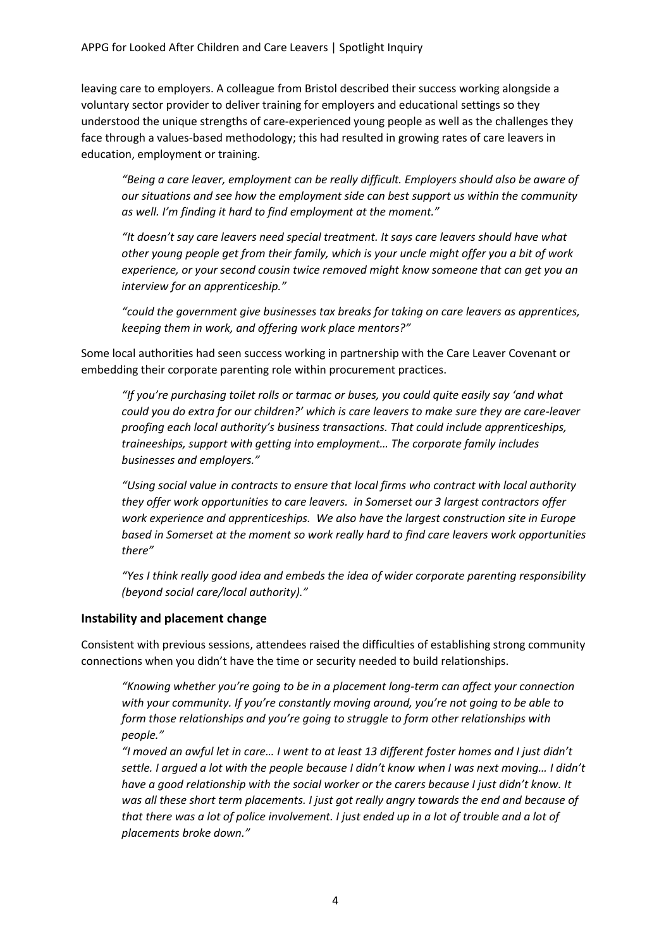leaving care to employers. A colleague from Bristol described their success working alongside a voluntary sector provider to deliver training for employers and educational settings so they understood the unique strengths of care-experienced young people as well as the challenges they face through a values-based methodology; this had resulted in growing rates of care leavers in education, employment or training.

*"Being a care leaver, employment can be really difficult. Employers should also be aware of our situations and see how the employment side can best support us within the community as well. I'm finding it hard to find employment at the moment."* 

*"It doesn't say care leavers need special treatment. It says care leavers should have what other young people get from their family, which is your uncle might offer you a bit of work experience, or your second cousin twice removed might know someone that can get you an interview for an apprenticeship."*

*"could the government give businesses tax breaks for taking on care leavers as apprentices, keeping them in work, and offering work place mentors?"*

Some local authorities had seen success working in partnership with the Care Leaver Covenant or embedding their corporate parenting role within procurement practices.

*"If you're purchasing toilet rolls or tarmac or buses, you could quite easily say 'and what could you do extra for our children?' which is care leavers to make sure they are care-leaver proofing each local authority's business transactions. That could include apprenticeships, traineeships, support with getting into employment… The corporate family includes businesses and employers."*

*"Using social value in contracts to ensure that local firms who contract with local authority they offer work opportunities to care leavers. in Somerset our 3 largest contractors offer work experience and apprenticeships. We also have the largest construction site in Europe based in Somerset at the moment so work really hard to find care leavers work opportunities there"*

*"Yes I think really good idea and embeds the idea of wider corporate parenting responsibility (beyond social care/local authority)."*

#### **Instability and placement change**

Consistent with previous sessions, attendees raised the difficulties of establishing strong community connections when you didn't have the time or security needed to build relationships.

*"Knowing whether you're going to be in a placement long-term can affect your connection with your community. If you're constantly moving around, you're not going to be able to form those relationships and you're going to struggle to form other relationships with people."*

*"I moved an awful let in care… I went to at least 13 different foster homes and I just didn't settle. I argued a lot with the people because I didn't know when I was next moving… I didn't have a good relationship with the social worker or the carers because I just didn't know. It was all these short term placements. I just got really angry towards the end and because of that there was a lot of police involvement. I just ended up in a lot of trouble and a lot of placements broke down."*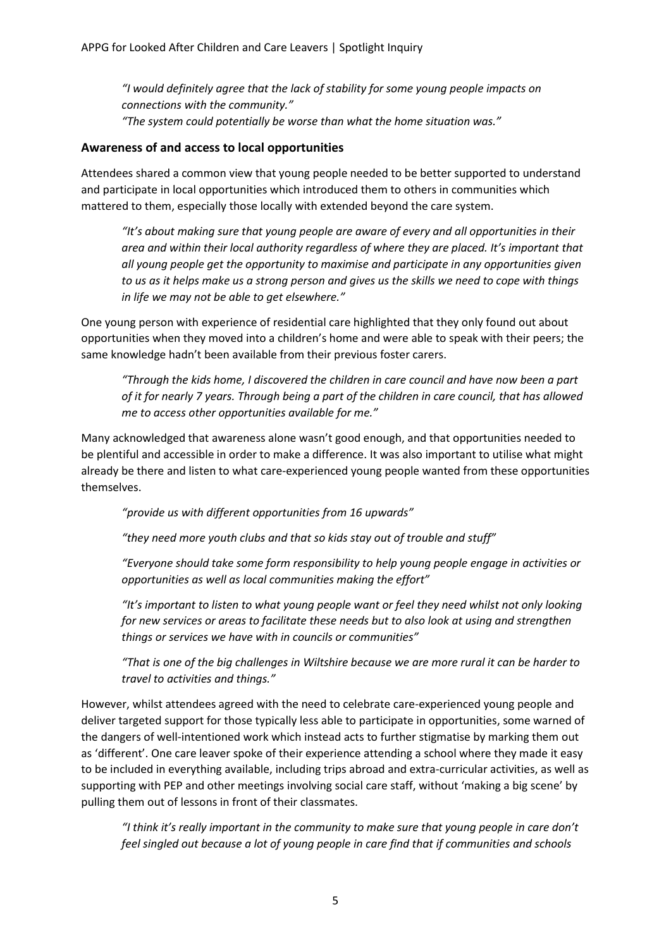*"I would definitely agree that the lack of stability for some young people impacts on connections with the community." "The system could potentially be worse than what the home situation was."*

#### **Awareness of and access to local opportunities**

Attendees shared a common view that young people needed to be better supported to understand and participate in local opportunities which introduced them to others in communities which mattered to them, especially those locally with extended beyond the care system.

*"It's about making sure that young people are aware of every and all opportunities in their area and within their local authority regardless of where they are placed. It's important that all young people get the opportunity to maximise and participate in any opportunities given to us as it helps make us a strong person and gives us the skills we need to cope with things in life we may not be able to get elsewhere."*

One young person with experience of residential care highlighted that they only found out about opportunities when they moved into a children's home and were able to speak with their peers; the same knowledge hadn't been available from their previous foster carers.

*"Through the kids home, I discovered the children in care council and have now been a part of it for nearly 7 years. Through being a part of the children in care council, that has allowed me to access other opportunities available for me."*

Many acknowledged that awareness alone wasn't good enough, and that opportunities needed to be plentiful and accessible in order to make a difference. It was also important to utilise what might already be there and listen to what care-experienced young people wanted from these opportunities themselves.

*"provide us with different opportunities from 16 upwards"*

*"they need more youth clubs and that so kids stay out of trouble and stuff"*

*"Everyone should take some form responsibility to help young people engage in activities or opportunities as well as local communities making the effort"*

*"It's important to listen to what young people want or feel they need whilst not only looking for new services or areas to facilitate these needs but to also look at using and strengthen things or services we have with in councils or communities"*

*"That is one of the big challenges in Wiltshire because we are more rural it can be harder to travel to activities and things."*

However, whilst attendees agreed with the need to celebrate care-experienced young people and deliver targeted support for those typically less able to participate in opportunities, some warned of the dangers of well-intentioned work which instead acts to further stigmatise by marking them out as 'different'. One care leaver spoke of their experience attending a school where they made it easy to be included in everything available, including trips abroad and extra-curricular activities, as well as supporting with PEP and other meetings involving social care staff, without 'making a big scene' by pulling them out of lessons in front of their classmates.

*"I think it's really important in the community to make sure that young people in care don't feel singled out because a lot of young people in care find that if communities and schools*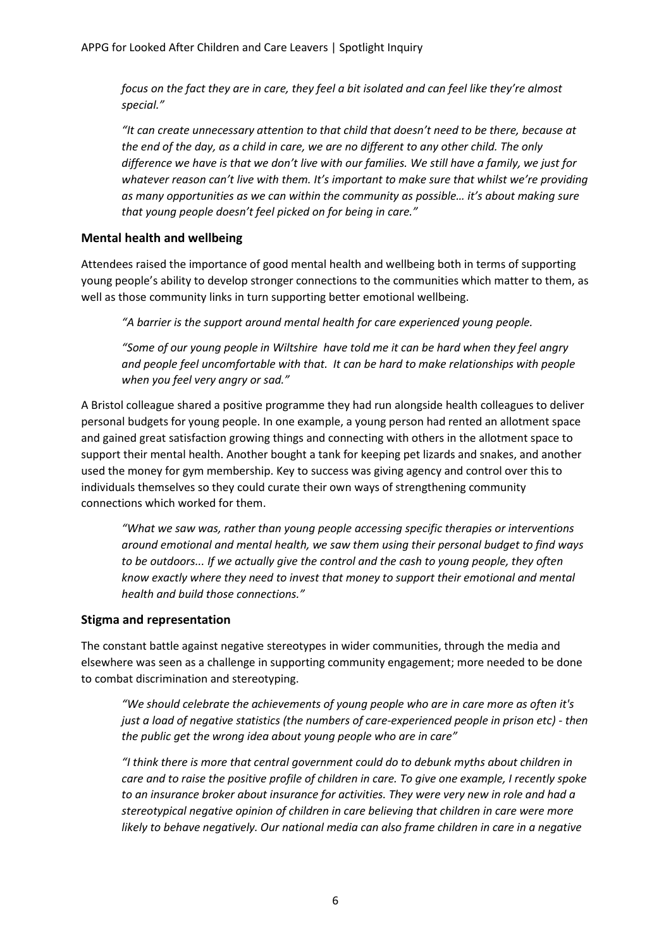*focus on the fact they are in care, they feel a bit isolated and can feel like they're almost special."*

*"It can create unnecessary attention to that child that doesn't need to be there, because at the end of the day, as a child in care, we are no different to any other child. The only difference we have is that we don't live with our families. We still have a family, we just for whatever reason can't live with them. It's important to make sure that whilst we're providing as many opportunities as we can within the community as possible… it's about making sure that young people doesn't feel picked on for being in care."*

#### **Mental health and wellbeing**

Attendees raised the importance of good mental health and wellbeing both in terms of supporting young people's ability to develop stronger connections to the communities which matter to them, as well as those community links in turn supporting better emotional wellbeing.

*"A barrier is the support around mental health for care experienced young people.* 

*"Some of our young people in Wiltshire have told me it can be hard when they feel angry and people feel uncomfortable with that. It can be hard to make relationships with people when you feel very angry or sad."*

A Bristol colleague shared a positive programme they had run alongside health colleagues to deliver personal budgets for young people. In one example, a young person had rented an allotment space and gained great satisfaction growing things and connecting with others in the allotment space to support their mental health. Another bought a tank for keeping pet lizards and snakes, and another used the money for gym membership. Key to success was giving agency and control over this to individuals themselves so they could curate their own ways of strengthening community connections which worked for them.

*"What we saw was, rather than young people accessing specific therapies or interventions around emotional and mental health, we saw them using their personal budget to find ways to be outdoors... If we actually give the control and the cash to young people, they often know exactly where they need to invest that money to support their emotional and mental health and build those connections."*

#### **Stigma and representation**

The constant battle against negative stereotypes in wider communities, through the media and elsewhere was seen as a challenge in supporting community engagement; more needed to be done to combat discrimination and stereotyping.

*"We should celebrate the achievements of young people who are in care more as often it's just a load of negative statistics (the numbers of care-experienced people in prison etc) - then the public get the wrong idea about young people who are in care"*

*"I think there is more that central government could do to debunk myths about children in care and to raise the positive profile of children in care. To give one example, I recently spoke to an insurance broker about insurance for activities. They were very new in role and had a stereotypical negative opinion of children in care believing that children in care were more likely to behave negatively. Our national media can also frame children in care in a negative*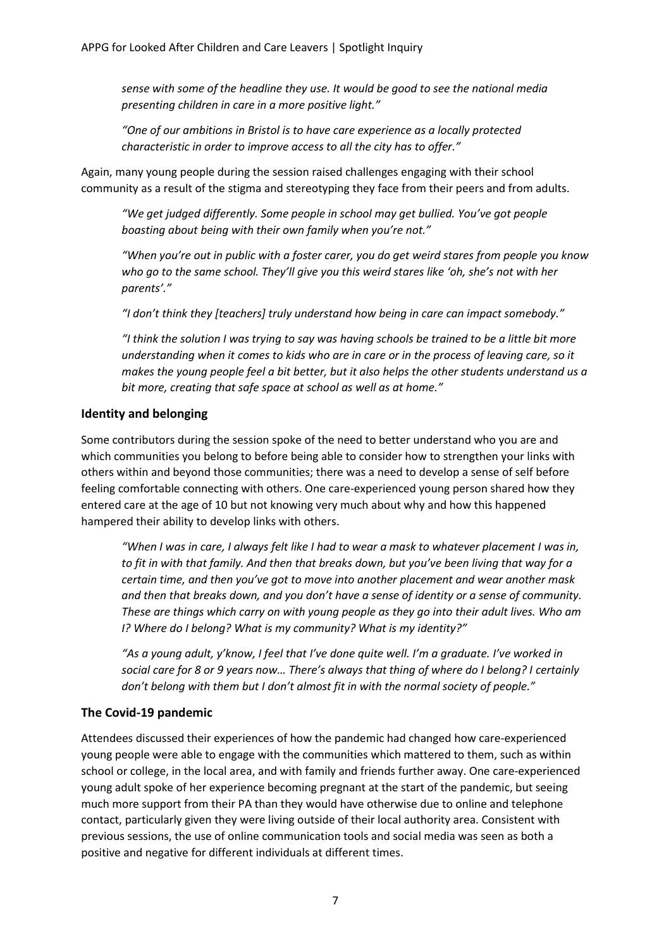*sense with some of the headline they use. It would be good to see the national media presenting children in care in a more positive light."*

*"One of our ambitions in Bristol is to have care experience as a locally protected characteristic in order to improve access to all the city has to offer."*

Again, many young people during the session raised challenges engaging with their school community as a result of the stigma and stereotyping they face from their peers and from adults.

*"We get judged differently. Some people in school may get bullied. You've got people boasting about being with their own family when you're not."*

*"When you're out in public with a foster carer, you do get weird stares from people you know who go to the same school. They'll give you this weird stares like 'oh, she's not with her parents'."*

*"I don't think they [teachers] truly understand how being in care can impact somebody."*

*"I think the solution I was trying to say was having schools be trained to be a little bit more understanding when it comes to kids who are in care or in the process of leaving care, so it makes the young people feel a bit better, but it also helps the other students understand us a bit more, creating that safe space at school as well as at home."*

#### **Identity and belonging**

Some contributors during the session spoke of the need to better understand who you are and which communities you belong to before being able to consider how to strengthen your links with others within and beyond those communities; there was a need to develop a sense of self before feeling comfortable connecting with others. One care-experienced young person shared how they entered care at the age of 10 but not knowing very much about why and how this happened hampered their ability to develop links with others.

*"When I was in care, I always felt like I had to wear a mask to whatever placement I was in, to fit in with that family. And then that breaks down, but you've been living that way for a certain time, and then you've got to move into another placement and wear another mask and then that breaks down, and you don't have a sense of identity or a sense of community. These are things which carry on with young people as they go into their adult lives. Who am I? Where do I belong? What is my community? What is my identity?"*

*"As a young adult, y'know, I feel that I've done quite well. I'm a graduate. I've worked in*  social care for 8 or 9 years now... There's always that thing of where do I belong? I certainly *don't belong with them but I don't almost fit in with the normal society of people."*

#### **The Covid-19 pandemic**

Attendees discussed their experiences of how the pandemic had changed how care-experienced young people were able to engage with the communities which mattered to them, such as within school or college, in the local area, and with family and friends further away. One care-experienced young adult spoke of her experience becoming pregnant at the start of the pandemic, but seeing much more support from their PA than they would have otherwise due to online and telephone contact, particularly given they were living outside of their local authority area. Consistent with previous sessions, the use of online communication tools and social media was seen as both a positive and negative for different individuals at different times.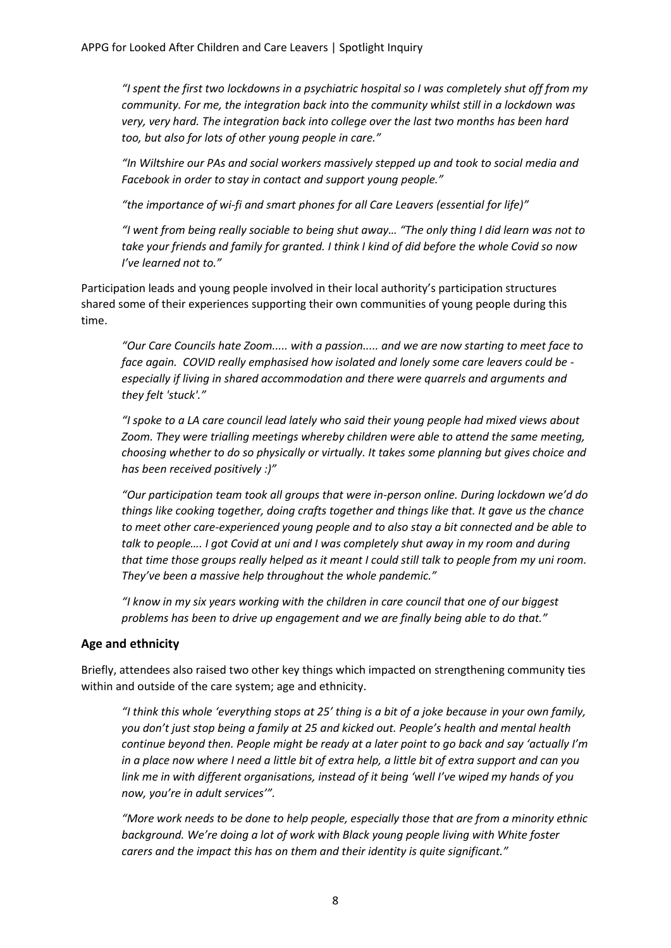*"I spent the first two lockdowns in a psychiatric hospital so I was completely shut off from my community. For me, the integration back into the community whilst still in a lockdown was very, very hard. The integration back into college over the last two months has been hard too, but also for lots of other young people in care."*

*"In Wiltshire our PAs and social workers massively stepped up and took to social media and Facebook in order to stay in contact and support young people."*

*"the importance of wi-fi and smart phones for all Care Leavers (essential for life)"*

*"I went from being really sociable to being shut away… "The only thing I did learn was not to take your friends and family for granted. I think I kind of did before the whole Covid so now I've learned not to."*

Participation leads and young people involved in their local authority's participation structures shared some of their experiences supporting their own communities of young people during this time.

*"Our Care Councils hate Zoom..... with a passion..... and we are now starting to meet face to face again. COVID really emphasised how isolated and lonely some care leavers could be especially if living in shared accommodation and there were quarrels and arguments and they felt 'stuck'."*

*"I spoke to a LA care council lead lately who said their young people had mixed views about Zoom. They were trialling meetings whereby children were able to attend the same meeting, choosing whether to do so physically or virtually. It takes some planning but gives choice and has been received positively :)"*

*"Our participation team took all groups that were in-person online. During lockdown we'd do things like cooking together, doing crafts together and things like that. It gave us the chance to meet other care-experienced young people and to also stay a bit connected and be able to talk to people…. I got Covid at uni and I was completely shut away in my room and during that time those groups really helped as it meant I could still talk to people from my uni room. They've been a massive help throughout the whole pandemic."*

*"I know in my six years working with the children in care council that one of our biggest problems has been to drive up engagement and we are finally being able to do that."*

#### **Age and ethnicity**

Briefly, attendees also raised two other key things which impacted on strengthening community ties within and outside of the care system; age and ethnicity.

*"I think this whole 'everything stops at 25' thing is a bit of a joke because in your own family, you don't just stop being a family at 25 and kicked out. People's health and mental health continue beyond then. People might be ready at a later point to go back and say 'actually I'm in a place now where I need a little bit of extra help, a little bit of extra support and can you link me in with different organisations, instead of it being 'well I've wiped my hands of you now, you're in adult services'".* 

*"More work needs to be done to help people, especially those that are from a minority ethnic background. We're doing a lot of work with Black young people living with White foster carers and the impact this has on them and their identity is quite significant."*